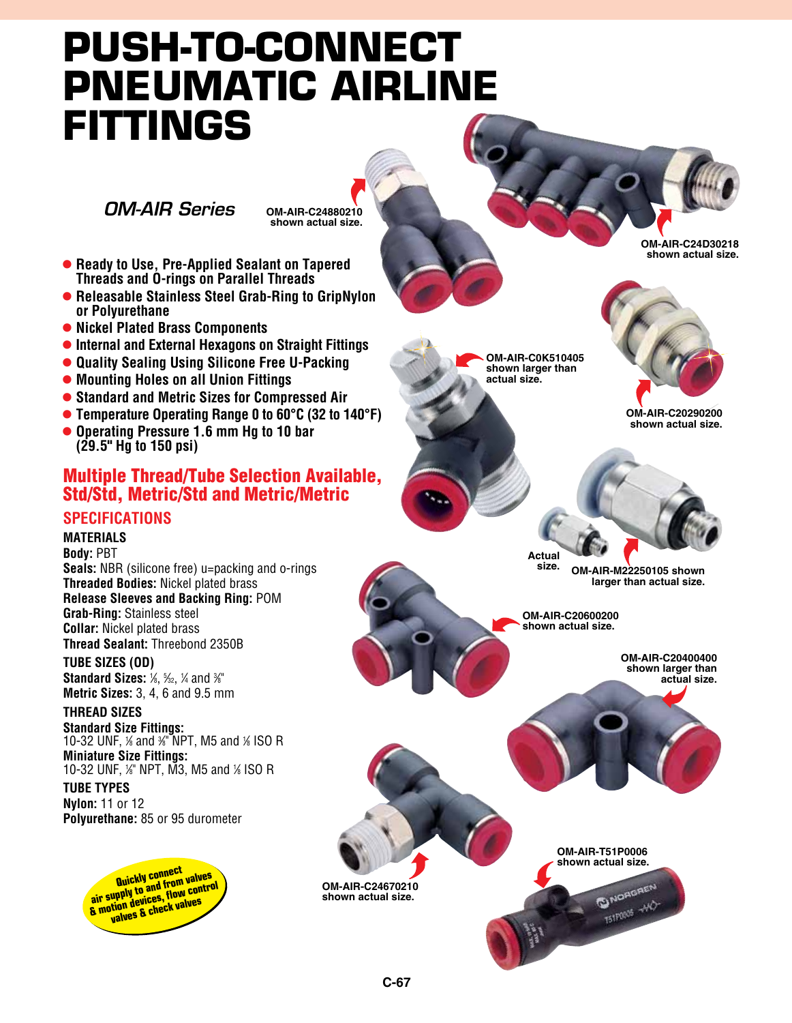# **PUSH-TO-CONNECT PNEUMATIC AIRLINE FITTINGS**

*OM-AIR Series*

**OM-AIR-C24880210 shown actual size.**

- **Ready to Use, Pre-Applied Sealant on Tapered Threads and O-rings on Parallel Threads**
- **Releasable Stainless Steel Grab-Ring to GripNylon or Polyurethane**
- l **Nickel Plated Brass Components**
- $\bullet$  **Internal and External Hexagons on Straight Fittings**
- l **Quality Sealing Using Silicone Free U-Packing**
- l **Mounting Holes on all Union Fittings**
- **Standard and Metric Sizes for Compressed Air**
- l **Temperature Operating Range 0 to 60°C (32 to 140°F)**
- $\bullet$  **Operating Pressure 1.6 mm Hg to 10 bar (29.5" Hg to 150 psi)**

### **Specifications** Multiple Thread/Tube Selection Available, Std/Std, Metric/Std and Metric/Metric

#### **Materials**

**Body:** PBT

**Seals:** NBR (silicone free) u=packing and o-rings **Threaded Bodies:** Nickel plated brass **Release Sleeves and Backing Ring:** POM **Grab-Ring:** Stainless steel **Collar:** Nickel plated brass **Thread Sealant:** Threebond 2350B

**Tube Sizes (OD) Standard Sizes:** 1⁄8, 5⁄32, 1⁄4 and 3⁄8" **Metric Sizes:** 3, 4, 6 and 9.5 mm

#### **Thread Sizes**

**Standard Size Fittings:** 10-32 UNF, 1/8 and 3/8" NPT, M5 and 1/8 ISO R **Miniature Size Fittings:** 10-32 UNF, *1*/8" NPT, M3, M5 and 1/8 ISO R

#### **Tube Types**

**Nylon:** 11 or 12 **Polyurethane:** 85 or 95 durometer



**OM-AIR-C24670210 shown actual size.** 

**OM-AIR-T51P0006** 

**DNOM** WO

**OM-AIR-C24D30218 shown actual size.**



**OM-AIR-C20290200 shown actual size.**



**OM-AIR-C20600200 shown actual size.**

**OM-AIR-C0K510405 shown larger than actual size.**

> **OM-AIR-C20400400 shown larger than actual size.**

**C-67**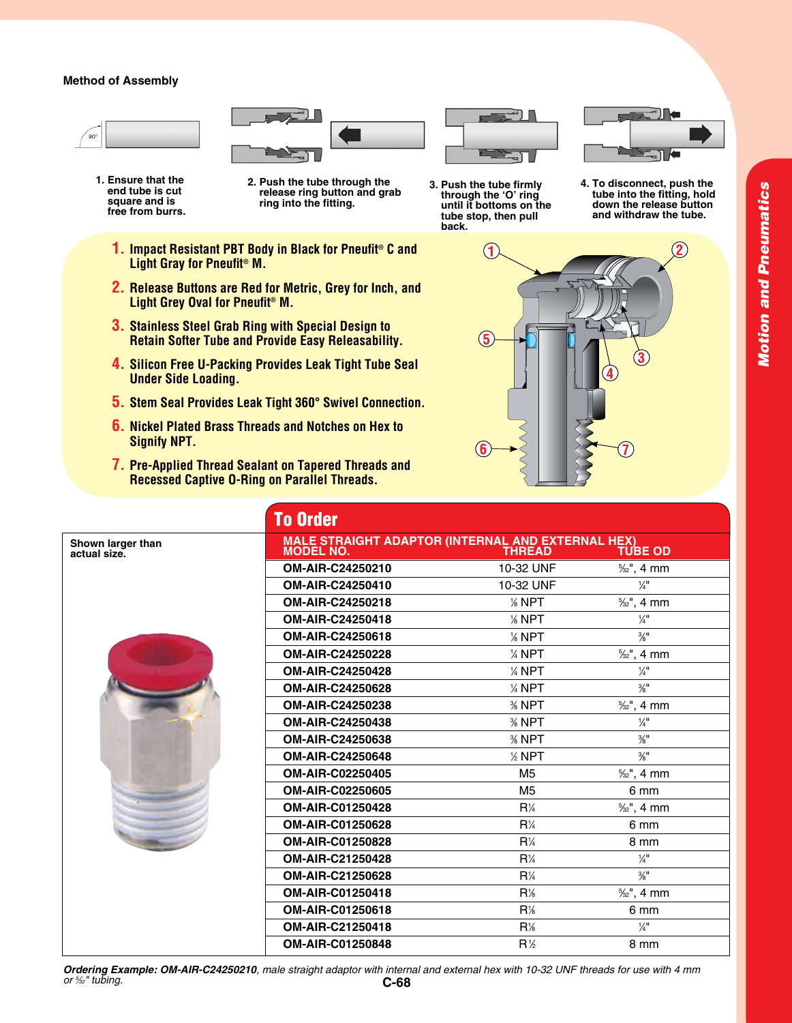#### **Method of Assembly**





- **1. Ensure that the end tube is cut square and is free from burrs.**
- **2. Push the tube through the release ring button and grab ring into the fitting.**
- **1. Impact Resistant PBT Body in Black for Pneufit® C and Light Gray for Pneufit® M.**
- **2. Release Buttons are Red for Metric, Grey for Inch, and Light Grey Oval for Pneufit® M.**
- **3. Stainless Steel Grab Ring with Special Design to Retain Softer Tube and Provide Easy Releasability.**
- **4. Silicon Free U-Packing Provides Leak Tight Tube Seal Under Side Loading.**
- **5. Stem Seal Provides Leak Tight 360° Swivel Connection.**
- **6. Nickel Plated Brass Threads and Notches on Hex to Signify NPT.**
- **7. Pre-Applied Thread Sealant on Tapered Threads and Recessed Captive O-Ring on Parallel Threads.**



**3. Push the tube firmly through the 'O' ring until it bottoms on the tube stop, then pull back.**



**4. To disconnect, push the tube into the fitting, hold down the release button and withdraw the tube.**



|                   | <b>To Order</b>                                                              |                                         |                             |  |
|-------------------|------------------------------------------------------------------------------|-----------------------------------------|-----------------------------|--|
| Shown larger than | MALE STRAIGHT ADAPTOR (INTERNAL AND EXTERNAL HEX)<br>MODEL NO. THREAD THREAD |                                         | <b>TUBE OD</b>              |  |
| actual size.      | OM-AIR-C24250210                                                             | 10-32 UNF                               | $\frac{5}{32}$ ", 4 mm      |  |
|                   | OM-AIR-C24250410                                                             | 10-32 UNF                               | $\frac{1}{4}$               |  |
|                   | OM-AIR-C24250218                                                             | $\frac{1}{8}$ NPT                       | $\frac{5}{32}$ ", 4 mm      |  |
|                   | <b>OM-AIR-C24250418</b>                                                      | $%$ NPT                                 | $\frac{1}{4}$ <sup>11</sup> |  |
|                   | <b>OM-AIR-C24250618</b>                                                      | $%$ NPT                                 | $\frac{3}{8}$ <sup>II</sup> |  |
|                   | <b>OM-AIR-C24250228</b>                                                      | $\frac{1}{4}$ NPT                       | $\frac{5}{32}$ ", 4 mm      |  |
|                   | <b>OM-AIR-C24250428</b>                                                      | $\frac{1}{4}$ NPT                       | $\frac{1}{4}$               |  |
|                   | <b>OM-AIR-C24250628</b>                                                      | 1/4 NPT                                 | $\frac{3}{8}$ <sup>II</sup> |  |
|                   | <b>OM-AIR-C24250238</b>                                                      | $%$ NPT                                 | $\frac{5}{32}$ ", 4 mm      |  |
|                   | <b>OM-AIR-C24250438</b>                                                      | $%$ NPT                                 | $\frac{1}{4}$ <sup>11</sup> |  |
|                   | <b>OM-AIR-C24250638</b>                                                      | $%$ NPT                                 | $\frac{3}{8}$ <sup>11</sup> |  |
|                   | <b>OM-AIR-C24250648</b>                                                      | $%$ NPT                                 | $\frac{3}{8}$ <sup>11</sup> |  |
|                   | OM-AIR-C02250405                                                             | M <sub>5</sub>                          | $\frac{5}{32}$ ", 4 mm      |  |
|                   | OM-AIR-C02250605                                                             | M <sub>5</sub>                          | 6 mm                        |  |
|                   | <b>OM-AIR-C01250428</b>                                                      | $R\frac{1}{4}$                          | $\frac{5}{32}$ ", 4 mm      |  |
|                   | <b>OM-AIR-C01250628</b>                                                      | $R\frac{1}{4}$                          | 6 mm                        |  |
|                   | <b>OM-AIR-C01250828</b>                                                      | $R\frac{1}{4}$                          | 8 mm                        |  |
|                   | <b>OM-AIR-C21250428</b>                                                      | $R\frac{1}{4}$                          | $\frac{1}{4}$               |  |
|                   | <b>OM-AIR-C21250628</b>                                                      | $R\frac{1}{4}$                          | $\frac{3}{8}$ <sup>II</sup> |  |
|                   | <b>OM-AIR-C01250418</b>                                                      | $R\%$                                   | $\frac{5}{22}$ ", 4 mm      |  |
|                   | <b>OM-AIR-C01250618</b>                                                      | $R\%$                                   | 6 mm                        |  |
|                   | OM-AIR-C21250418                                                             | $R\%$                                   | $\frac{1}{4}$               |  |
|                   | <b>OM-AIR-C01250848</b>                                                      | $R$ <sup><math>\frac{1}{2}</math></sup> | 8 mm                        |  |
|                   |                                                                              |                                         |                             |  |

**C-68** *Ordering Example: OM-AIR-C24250210, male straight adaptor with internal and external hex with 10-32 UNF threads for use with 4 mm or 5 ⁄32" tubing.*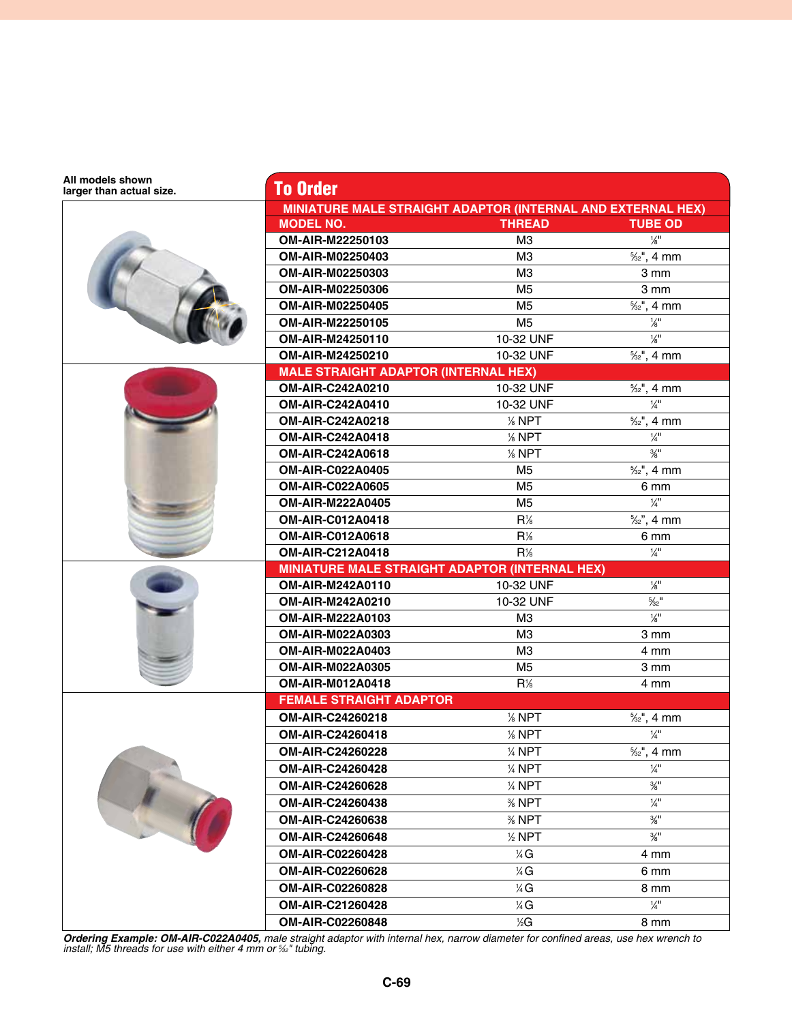| All models shown<br>larger than actual size. | <b>To Order</b>                                             |                                                |                               |
|----------------------------------------------|-------------------------------------------------------------|------------------------------------------------|-------------------------------|
|                                              | MINIATURE MALE STRAIGHT ADAPTOR (INTERNAL AND EXTERNAL HEX) |                                                |                               |
|                                              | <b>MODEL NO.</b>                                            | <b>THREAD</b>                                  | <b>TUBE OD</b>                |
|                                              | OM-AIR-M22250103                                            | M <sub>3</sub>                                 | $\frac{1}{8}$ <sup>11</sup>   |
|                                              | OM-AIR-M02250403                                            | M <sub>3</sub>                                 | $\frac{5}{32}$ ", 4 mm        |
|                                              | <b>OM-AIR-M02250303</b>                                     | M <sub>3</sub>                                 | 3 mm                          |
|                                              | OM-AIR-M02250306                                            | M <sub>5</sub>                                 | 3 mm                          |
|                                              | <b>OM-AIR-M02250405</b>                                     | M <sub>5</sub>                                 | $\frac{5}{32}$ ", 4 mm        |
|                                              | OM-AIR-M22250105                                            | M <sub>5</sub>                                 | $\frac{1}{8}$                 |
|                                              | OM-AIR-M24250110                                            | 10-32 UNF                                      | $\frac{1}{8}$                 |
|                                              | OM-AIR-M24250210                                            | 10-32 UNF                                      | $\frac{5}{32}$ ", 4 mm        |
|                                              | <b>MALE STRAIGHT ADAPTOR (INTERNAL HEX)</b>                 |                                                |                               |
|                                              | <b>OM-AIR-C242A0210</b>                                     | 10-32 UNF                                      | $\frac{5}{32}$ ", 4 mm        |
|                                              | <b>OM-AIR-C242A0410</b>                                     | 10-32 UNF                                      | $\frac{1}{4}$ <sup>11</sup>   |
|                                              | <b>OM-AIR-C242A0218</b>                                     | % NPT                                          | $\frac{5}{32}$ ", 4 mm        |
|                                              | <b>OM-AIR-C242A0418</b>                                     | % NPT                                          | $\frac{1}{4}$ <sup>11</sup>   |
|                                              | <b>OM-AIR-C242A0618</b>                                     | % NPT                                          | $\frac{3}{8}$ <sup>11</sup>   |
|                                              | <b>OM-AIR-C022A0405</b>                                     | M <sub>5</sub>                                 | $\frac{5}{32}$ ", 4 mm        |
|                                              | <b>OM-AIR-C022A0605</b>                                     | M <sub>5</sub>                                 | 6 mm                          |
|                                              | <b>OM-AIR-M222A0405</b>                                     | M <sub>5</sub>                                 | $\frac{1}{4}$                 |
|                                              | <b>OM-AIR-C012A0418</b>                                     | $R\%$                                          | $\frac{5}{32}$ ", 4 mm        |
|                                              | <b>OM-AIR-C012A0618</b>                                     | $R\%$                                          | 6 mm                          |
|                                              | <b>OM-AIR-C212A0418</b>                                     | $R\%$                                          | $\frac{1}{4}$ <sup>11</sup>   |
|                                              |                                                             | MINIATURE MALE STRAIGHT ADAPTOR (INTERNAL HEX) |                               |
|                                              | <b>OM-AIR-M242A0110</b>                                     | 10-32 UNF                                      | $\frac{1}{8}$                 |
|                                              | <b>OM-AIR-M242A0210</b>                                     | 10-32 UNF                                      | $\frac{5}{32}$ $\blacksquare$ |
|                                              | <b>OM-AIR-M222A0103</b>                                     | M <sub>3</sub>                                 | $\frac{1}{8}$                 |
|                                              | <b>OM-AIR-M022A0303</b>                                     | M <sub>3</sub>                                 | $3 \, \text{mm}$              |
|                                              | <b>OM-AIR-M022A0403</b>                                     | M <sub>3</sub>                                 | 4 mm                          |
|                                              | <b>OM-AIR-M022A0305</b>                                     | M <sub>5</sub>                                 | 3 mm                          |
|                                              | <b>OM-AIR-M012A0418</b>                                     | $R\%$                                          | 4 mm                          |
|                                              | <b>FEMALE STRAIGHT ADAPTOR</b>                              |                                                |                               |
|                                              | <b>OM-AIR-C24260218</b>                                     | % NPT                                          | $\frac{5}{32}$ ", 4 mm        |
|                                              | OM-AIR-C24260418                                            | % NPT                                          | $\frac{1}{4}$ <sup>11</sup>   |
|                                              | OM-AIR-C24260228                                            | % NPT                                          | $\frac{5}{32}$ ", 4 mm        |
|                                              | <b>OM-AIR-C24260428</b>                                     | % NPT                                          | $\frac{1}{4}$                 |
|                                              | OM-AIR-C24260628                                            | % NPT                                          | $\frac{3}{8}$ <sup>11</sup>   |
|                                              | <b>OM-AIR-C24260438</b>                                     | % NPT                                          | $\frac{1}{4}$                 |
|                                              | OM-AIR-C24260638                                            | $%$ NPT                                        | $\frac{3}{8}$ <sup>11</sup>   |
|                                              | <b>OM-AIR-C24260648</b>                                     | $%$ NPT                                        | $\frac{3}{8}$ <sup>11</sup>   |
|                                              | <b>OM-AIR-C02260428</b>                                     | ¼G                                             | 4 mm                          |
|                                              | <b>OM-AIR-C02260628</b>                                     | ¼G                                             | 6 mm                          |
|                                              | <b>OM-AIR-C02260828</b>                                     | ¼G                                             | 8 mm                          |
|                                              | <b>OM-AIR-C21260428</b>                                     | ¼G                                             | $\frac{1}{4}$ <sup>11</sup>   |
|                                              | <b>OM-AIR-C02260848</b>                                     | 1⁄2G                                           | 8 mm                          |

*Ordering Example: OM-AIR-C022A0405, male straight adaptor with internal hex, narrow diameter for confined areas, use hex wrench to install; M5 threads for use with either 4 mm or 5 ⁄32" tubing.*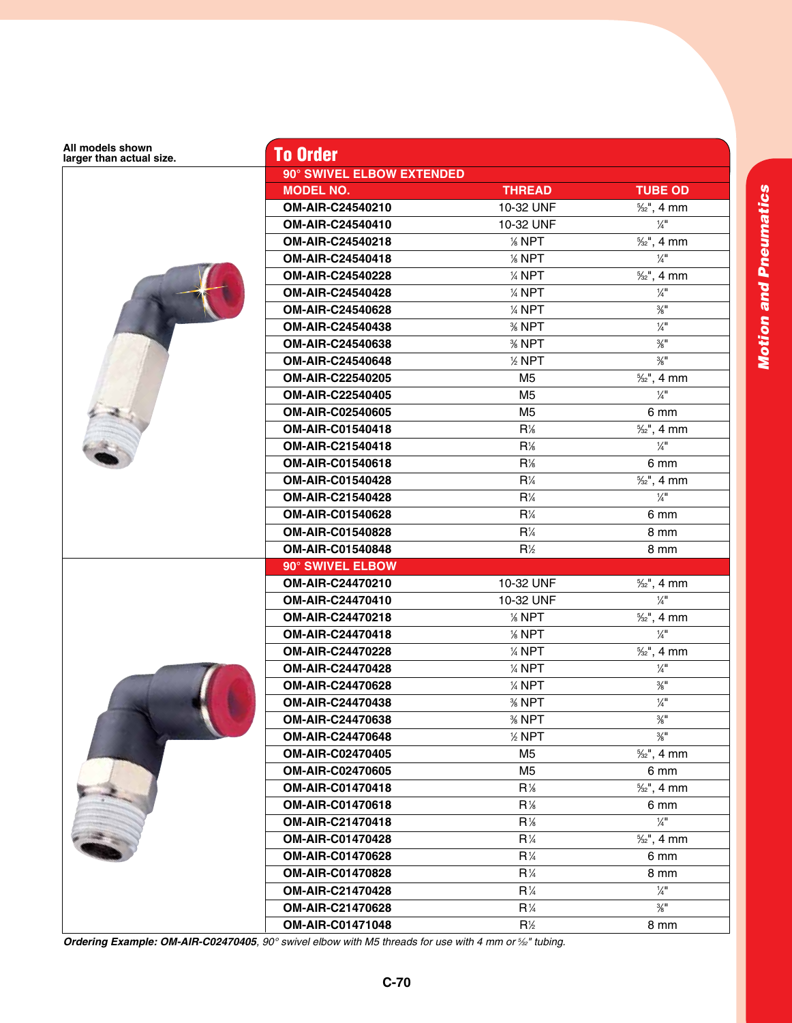| All models shown<br>larger than actual size. | <b>To Order</b>           |                |                                       |  |
|----------------------------------------------|---------------------------|----------------|---------------------------------------|--|
|                                              | 90° SWIVEL ELBOW EXTENDED |                |                                       |  |
|                                              | <b>MODEL NO.</b>          | <b>THREAD</b>  | <b>TUBE OD</b>                        |  |
|                                              | OM-AIR-C24540210          | 10-32 UNF      | $\frac{1}{2}$ / <sub>32</sub> ", 4 mm |  |
|                                              | OM-AIR-C24540410          | 10-32 UNF      | $\frac{1}{4}$ <sup>11</sup>           |  |
|                                              | <b>OM-AIR-C24540218</b>   | % NPT          | $\frac{5}{32}$ ", 4 mm                |  |
|                                              | <b>OM-AIR-C24540418</b>   | % NPT          | $\frac{1}{4}$ <sup>11</sup>           |  |
|                                              | <b>OM-AIR-C24540228</b>   | % NPT          | $\frac{5}{32}$ ", 4 mm                |  |
|                                              | <b>OM-AIR-C24540428</b>   | % NPT          | $\frac{1}{4}$                         |  |
|                                              | <b>OM-AIR-C24540628</b>   | 1/4 NPT        | $\frac{3}{8}$ <sup>11</sup>           |  |
|                                              | <b>OM-AIR-C24540438</b>   | $%$ NPT        | $\frac{1}{4}$ <sup>11</sup>           |  |
|                                              | OM-AIR-C24540638          | % NPT          | $\frac{3}{8}$ <sup>11</sup>           |  |
|                                              | <b>OM-AIR-C24540648</b>   | % NPT          | $\frac{3}{8}$ <sup>11</sup>           |  |
|                                              | <b>OM-AIR-C22540205</b>   | M <sub>5</sub> | $\frac{5}{32}$ ", 4 mm                |  |
|                                              | <b>OM-AIR-C22540405</b>   | M5             | $\frac{1}{4}$                         |  |
|                                              | <b>OM-AIR-C02540605</b>   | M <sub>5</sub> | 6 mm                                  |  |
|                                              | <b>OM-AIR-C01540418</b>   | $R\%$          | $\frac{5}{32}$ ", 4 mm                |  |
|                                              | OM-AIR-C21540418          | $R\frac{1}{8}$ | $\frac{1}{4}$                         |  |
|                                              | <b>OM-AIR-C01540618</b>   | $R\%$          | 6 mm                                  |  |
|                                              | <b>OM-AIR-C01540428</b>   | $R\frac{1}{4}$ | $\frac{5}{32}$ ", 4 mm                |  |
|                                              | OM-AIR-C21540428          | $R\frac{1}{4}$ | $\frac{1}{4}$                         |  |
|                                              | <b>OM-AIR-C01540628</b>   | $R\%$          | 6 mm                                  |  |
|                                              | <b>OM-AIR-C01540828</b>   | $R\frac{1}{4}$ | 8 mm                                  |  |
|                                              | <b>OM-AIR-C01540848</b>   | $R\frac{1}{2}$ | 8 mm                                  |  |
|                                              | 90° SWIVEL ELBOW          |                |                                       |  |
|                                              | OM-AIR-C24470210          | 10-32 UNF      | $\frac{5}{32}$ ", 4 mm                |  |
|                                              | <b>OM-AIR-C24470410</b>   | 10-32 UNF      | $\frac{1}{4}$ <sup>11</sup>           |  |
|                                              | <b>OM-AIR-C24470218</b>   | % NPT          | $\frac{5}{32}$ ", 4 mm                |  |
|                                              | <b>OM-AIR-C24470418</b>   | % NPT          | $\frac{1}{4}$ <sup>11</sup>           |  |
|                                              | <b>OM-AIR-C24470228</b>   | % NPT          | $\frac{5}{32}$ ", 4 mm                |  |
|                                              | <b>OM-AIR-C24470428</b>   | % NPT          | $\frac{1}{4}$                         |  |
|                                              | <b>OM-AIR-C24470628</b>   | % NPT          | $\frac{3}{8}$ II                      |  |
|                                              | <b>OM-AIR-C24470438</b>   | % NPT          | $\frac{1}{4}$                         |  |
|                                              | OM-AIR-C24470638          | $%$ NPT        | 3/11                                  |  |
|                                              | <b>OM-AIR-C24470648</b>   | % NPT          | $\frac{3}{8}$ <sup>11</sup>           |  |
|                                              | <b>OM-AIR-C02470405</b>   | M5             | $\frac{5}{32}$ ", 4 mm                |  |
|                                              | <b>OM-AIR-C02470605</b>   | M5             | 6 mm                                  |  |
|                                              | <b>OM-AIR-C01470418</b>   | $R\%$          | $\frac{5}{32}$ ", 4 mm                |  |
|                                              | <b>OM-AIR-C01470618</b>   | $R\%$          | 6 mm                                  |  |
|                                              | <b>OM-AIR-C21470418</b>   | $R$ %          | $\frac{1}{4}$ "                       |  |
|                                              | <b>OM-AIR-C01470428</b>   | $R\frac{1}{4}$ | $\frac{5}{32}$ ", 4 mm                |  |
|                                              | <b>OM-AIR-C01470628</b>   | $R\frac{1}{4}$ | 6 mm                                  |  |
|                                              | <b>OM-AIR-C01470828</b>   | $R\frac{1}{4}$ | 8 mm                                  |  |
|                                              | <b>OM-AIR-C21470428</b>   | $R\frac{1}{4}$ | $\frac{1}{4}$                         |  |
|                                              | <b>OM-AIR-C21470628</b>   | $R\frac{1}{4}$ | $\frac{3}{8}$ <sup>11</sup>           |  |
|                                              | <b>OM-AIR-C01471048</b>   | $R\frac{1}{2}$ | 8 mm                                  |  |

*Ordering Example: OM-AIR-C02470405, 90° swivel elbow with M5 threads for use with 4 mm or 5 ⁄32" tubing.*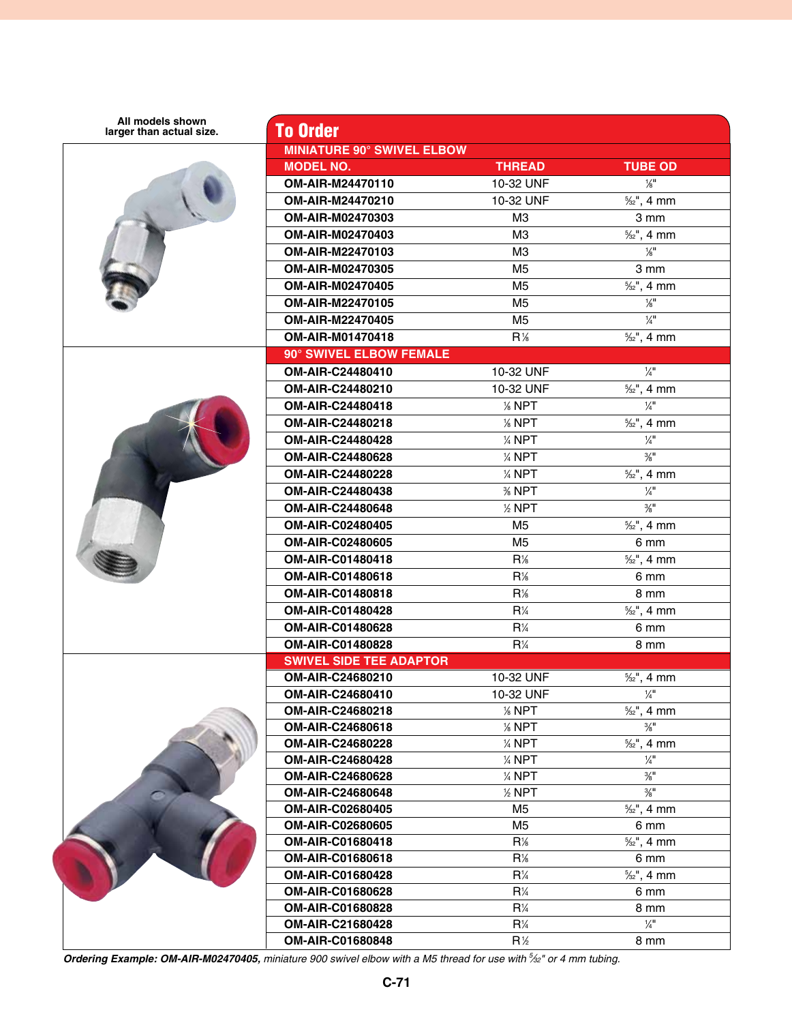| All models shown<br>larger than actual size. | <b>To Order</b>                      |                         |                                       |
|----------------------------------------------|--------------------------------------|-------------------------|---------------------------------------|
|                                              | <b>MINIATURE 90° SWIVEL ELBOW</b>    |                         |                                       |
|                                              | <b>MODEL NO.</b>                     | <b>THREAD</b>           | <b>TUBE OD</b>                        |
|                                              | OM-AIR-M24470110                     | 10-32 UNF               | $\frac{1}{8}$ <sup>11</sup>           |
|                                              | OM-AIR-M24470210                     | 10-32 UNF               | $\frac{5}{32}$ ", 4 mm                |
|                                              | <b>OM-AIR-M02470303</b>              | M <sub>3</sub>          | 3 mm                                  |
|                                              | OM-AIR-M02470403                     | M <sub>3</sub>          | $\frac{5}{32}$ ", 4 mm                |
|                                              | <b>OM-AIR-M22470103</b>              | MЗ                      | $\frac{1}{8}$                         |
|                                              | OM-AIR-M02470305                     | M <sub>5</sub>          | 3 mm                                  |
|                                              | OM-AIR-M02470405                     | M <sub>5</sub>          | $\frac{5}{32}$ ", 4 mm                |
|                                              | OM-AIR-M22470105                     | M5                      | $\frac{1}{8}$ <sup>11</sup>           |
|                                              | <b>OM-AIR-M22470405</b>              | M <sub>5</sub>          | $\frac{1}{4}$                         |
|                                              | OM-AIR-M01470418                     | $R\%$                   | $\frac{5}{32}$ ", 4 mm                |
|                                              | 90° SWIVEL ELBOW FEMALE              |                         |                                       |
|                                              | OM-AIR-C24480410                     | 10-32 UNF               | $\frac{1}{4}$                         |
|                                              | OM-AIR-C24480210                     | 10-32 UNF               | $\frac{1}{2}$ % <sub>2</sub> ", 4 mm  |
|                                              | <b>OM-AIR-C24480418</b>              | % NPT                   | $\frac{1}{4}$ <sup>11</sup>           |
|                                              | OM-AIR-C24480218                     | % NPT                   | $\frac{1}{2}$ / <sub>32</sub> ", 4 mm |
|                                              | <b>OM-AIR-C24480428</b>              | $\frac{1}{4}$ NPT       | $\frac{1}{4}$                         |
|                                              | OM-AIR-C24480628                     | $\frac{1}{4}$ NPT       | $\frac{3}{8}$ <sup>11</sup>           |
|                                              | <b>OM-AIR-C24480228</b>              | $\frac{1}{4}$ NPT       | $\frac{5}{32}$ ", 4 mm                |
|                                              | OM-AIR-C24480438                     | $%$ NPT                 | $\frac{1}{4}$ <sup>11</sup>           |
|                                              | <b>OM-AIR-C24480648</b>              | $%$ NPT                 | $\frac{3}{8}$ <sup>II</sup>           |
|                                              | <b>OM-AIR-C02480405</b>              | M5                      | $\frac{1}{2}$ / <sub>32</sub> ", 4 mm |
|                                              | <b>OM-AIR-C02480605</b>              | M <sub>5</sub>          | 6 mm                                  |
|                                              | <b>OM-AIR-C01480418</b>              | $R\%$                   | $\frac{5}{32}$ ", 4 mm                |
|                                              | <b>OM-AIR-C01480618</b>              | $R\%$                   | 6 mm                                  |
|                                              | OM-AIR-C01480818                     | $R\%$                   | 8 mm                                  |
|                                              | <b>OM-AIR-C01480428</b>              | $R\%$                   | $\frac{5}{32}$ ", 4 mm                |
|                                              | <b>OM-AIR-C01480628</b>              | $R\frac{1}{4}$          | 6 mm                                  |
|                                              | OM-AIR-C01480828                     | $R\frac{1}{4}$          | 8 mm                                  |
|                                              | <b>SWIVEL SIDE TEE ADAPTOR</b>       |                         |                                       |
|                                              | OM-AIR-C24680210                     | 10-32 UNF               | $\frac{5}{32}$ ", 4 mm                |
|                                              | <b>OM-AIR-C24680410</b>              | 10-32 UNF               | $\frac{1}{4}$                         |
|                                              | OM-AIR-C24680218                     | % NPT                   | $\frac{5}{32}$ ", 4 mm                |
|                                              | OM-AIR-C24680618                     | % NPT                   | $\frac{3}{8}$ <sup>II</sup>           |
|                                              | OM-AIR-C24680228                     | % NPT                   | $\frac{5}{32}$ ", 4 mm                |
|                                              | <b>OM-AIR-C24680428</b>              | % NPT                   | $\frac{1}{4}$                         |
|                                              | <b>OM-AIR-C24680628</b>              | % NPT                   | $\frac{3}{8}$ <sup>11</sup>           |
|                                              | <b>OM-AIR-C24680648</b>              | % NPT                   | $\frac{3}{8}$ <sup>11</sup>           |
|                                              | <b>OM-AIR-C02680405</b>              | M5                      | $\frac{5}{32}$ ", 4 mm                |
|                                              | OM-AIR-C02680605<br>OM-AIR-C01680418 | M <sub>5</sub><br>$R\%$ | 6 mm                                  |
|                                              | <b>OM-AIR-C01680618</b>              | $R\frac{1}{8}$          | $\frac{5}{32}$ ", 4 mm<br>6 mm        |
|                                              | <b>OM-AIR-C01680428</b>              | $R\frac{1}{4}$          | $\frac{5}{32}$ ", 4 mm                |
|                                              | OM-AIR-C01680628                     | $R\frac{1}{4}$          | 6 mm                                  |
|                                              | <b>OM-AIR-C01680828</b>              | $R\frac{1}{4}$          | 8 mm                                  |
|                                              | <b>OM-AIR-C21680428</b>              | $R\frac{1}{4}$          | $\frac{1}{4}$                         |
|                                              | <b>OM-AIR-C01680848</b>              | $R\%$                   | 8 mm                                  |
|                                              |                                      |                         |                                       |

*Ordering Example: OM-AIR-M02470405, miniature 900 swivel elbow with a M5 thread for use with 5 ⁄32" or 4 mm tubing.*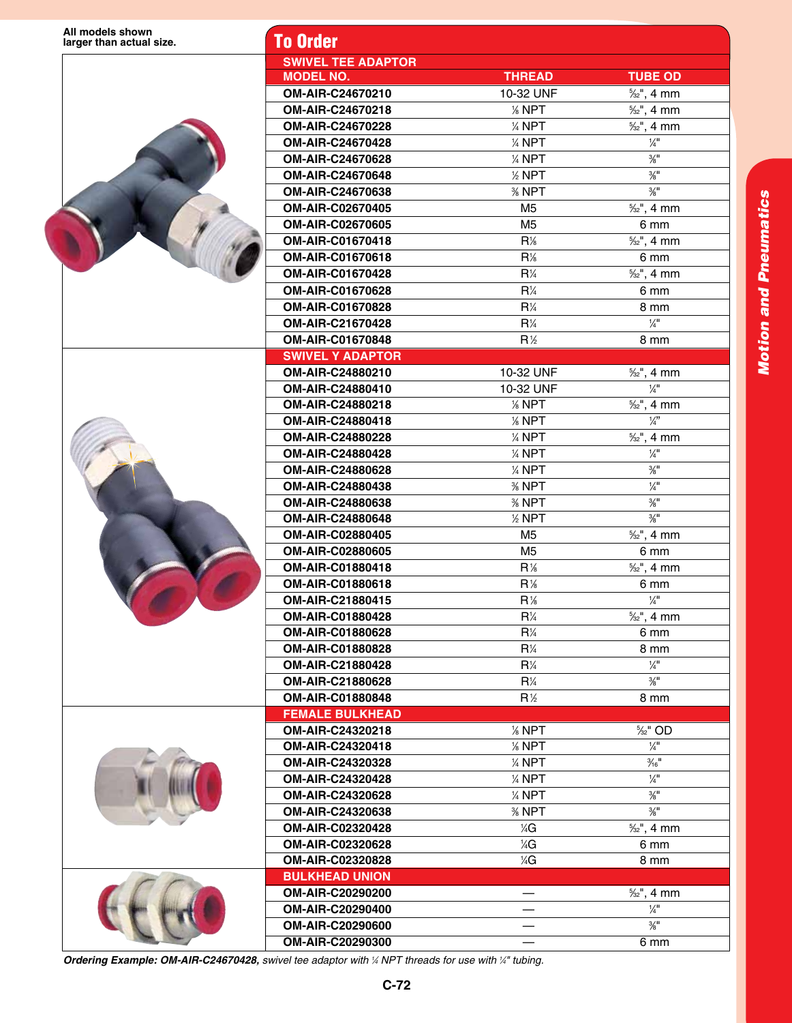| All models shown<br>larger than actual size. | <b>To Order</b>           |                                           |                                               |
|----------------------------------------------|---------------------------|-------------------------------------------|-----------------------------------------------|
|                                              | <b>SWIVEL TEE ADAPTOR</b> |                                           |                                               |
|                                              | <b>MODEL NO.</b>          | <b>THREAD</b>                             | <b>TUBE OD</b>                                |
|                                              | OM-AIR-C24670210          | 10-32 UNF                                 | $\frac{5}{32}$ ", 4 mm                        |
|                                              | OM-AIR-C24670218          | % NPT                                     | $\frac{5}{32}$ ", 4 mm                        |
|                                              | <b>OM-AIR-C24670228</b>   | % NPT                                     | $\frac{5}{32}$ ", 4 mm                        |
|                                              | <b>OM-AIR-C24670428</b>   | $\%$ NPT                                  | $\frac{1}{4}$                                 |
|                                              | OM-AIR-C24670628          | $\frac{1}{4}$ NPT                         | $\frac{3}{8}$ <sup>11</sup>                   |
|                                              | OM-AIR-C24670648          | $\frac{1}{2}$ NPT                         | $\frac{3}{8}$ <sup>11</sup>                   |
|                                              | OM-AIR-C24670638          | % NPT                                     | $\frac{3}{8}$ <sup>11</sup>                   |
|                                              | OM-AIR-C02670405          | M <sub>5</sub>                            | $\frac{5}{32}$ ", 4 mm                        |
|                                              | <b>OM-AIR-C02670605</b>   | M <sub>5</sub>                            | 6 mm                                          |
|                                              | <b>OM-AIR-C01670418</b>   | $R\%$                                     | $\frac{5}{32}$ ", 4 mm                        |
|                                              | <b>OM-AIR-C01670618</b>   | $R\%$                                     | 6 mm                                          |
|                                              | OM-AIR-C01670428          | $R\frac{1}{4}$                            | $\frac{5}{32}$ ", 4 mm                        |
|                                              | OM-AIR-C01670628          | $R\frac{1}{4}$                            | 6 mm                                          |
|                                              | OM-AIR-C01670828          | $R\frac{1}{4}$                            | 8 mm                                          |
|                                              | OM-AIR-C21670428          | $R\frac{1}{4}$                            | $\frac{1}{4}$                                 |
|                                              | <b>OM-AIR-C01670848</b>   | $R$ <sup><math>\frac{\pi}{2}</math></sup> | 8 mm                                          |
|                                              | <b>SWIVEL Y ADAPTOR</b>   |                                           |                                               |
|                                              | OM-AIR-C24880210          | 10-32 UNF                                 | $\frac{5}{32}$ ", 4 mm                        |
|                                              | OM-AIR-C24880410          | 10-32 UNF                                 | $\frac{1}{4}$ <sup>11</sup>                   |
|                                              | OM-AIR-C24880218          | % NPT                                     | $\frac{1}{2}$ % <sub>2</sub> ", 4 mm          |
|                                              | <b>OM-AIR-C24880418</b>   | % NPT                                     | $\frac{1}{4}$                                 |
|                                              | OM-AIR-C24880228          | % NPT                                     | $\frac{5}{32}$ ", 4 mm                        |
|                                              | <b>OM-AIR-C24880428</b>   | $\frac{1}{4}$ NPT                         | $\frac{1}{4}$                                 |
|                                              | OM-AIR-C24880628          | % NPT                                     | $\frac{3}{8}$ <sup>11</sup>                   |
|                                              | <b>OM-AIR-C24880438</b>   | % NPT                                     | $\frac{1}{4}$                                 |
|                                              | OM-AIR-C24880638          | % NPT                                     | $\frac{3}{8}$ <sup>11</sup>                   |
|                                              | <b>OM-AIR-C24880648</b>   | $%$ NPT                                   | $\frac{3}{8}$ <sup>11</sup>                   |
|                                              | OM-AIR-C02880405          | M <sub>5</sub>                            | $\frac{5}{32}$ ", 4 mm                        |
|                                              | OM-AIR-C02880605          | M <sub>5</sub>                            | 6 mm                                          |
|                                              | <b>OM-AIR-C01880418</b>   | $R$ %                                     | $\frac{5}{32}$ ", 4 mm                        |
|                                              | <b>OM-AIR-C01880618</b>   | $R\%$                                     | 6 mm                                          |
|                                              | OM-AIR-C21880415          | $R\%$                                     | $\frac{1}{4}$                                 |
|                                              | OM-AIR-C01880428          | $R\frac{1}{4}$                            | $\frac{5}{32}$ ", 4 mm                        |
|                                              | <b>OM-AIR-C01880628</b>   | $R\frac{1}{4}$                            | 6 mm                                          |
|                                              | OM-AIR-C01880828          | $R\frac{1}{4}$                            | 8 mm                                          |
|                                              | OM-AIR-C21880428          | $R\frac{1}{4}$                            | $\frac{1}{4}$ <sup>11</sup>                   |
|                                              | OM-AIR-C21880628          | $R\frac{1}{4}$                            | $\frac{3}{8}$ <sup>11</sup>                   |
|                                              | <b>OM-AIR-C01880848</b>   | $R\frac{1}{2}$                            | 8 mm                                          |
|                                              | <b>FEMALE BULKHEAD</b>    |                                           |                                               |
|                                              | OM-AIR-C24320218          | % NPT                                     | $\frac{1}{2}$ / <sub>32</sub> <sup>"</sup> OD |
|                                              | OM-AIR-C24320418          | % NPT                                     | $\frac{1}{4}$                                 |
|                                              | <b>OM-AIR-C24320328</b>   | % NPT                                     | $\frac{3}{16}$ <sup>11</sup>                  |
|                                              | <b>OM-AIR-C24320428</b>   | 1/4 NPT                                   | $\frac{1}{4}$                                 |
|                                              | OM-AIR-C24320628          | % NPT                                     | $\frac{3}{8}$ <sup>11</sup>                   |
|                                              | OM-AIR-C24320638          | $%$ NPT                                   | $\frac{3}{8}$ <sup>11</sup>                   |
|                                              | <b>OM-AIR-C02320428</b>   | ¼G                                        | $\frac{5}{32}$ ", 4 mm                        |
|                                              | <b>OM-AIR-C02320628</b>   | ¼G                                        | 6 mm                                          |
|                                              | OM-AIR-C02320828          | ¼G                                        | 8 mm                                          |
|                                              | <b>BULKHEAD UNION</b>     |                                           |                                               |
|                                              | OM-AIR-C20290200          |                                           | $\frac{5}{32}$ ", 4 mm                        |
|                                              | OM-AIR-C20290400          |                                           | $\frac{1}{4}$ <sup>11</sup>                   |
|                                              | OM-AIR-C20290600          |                                           | $\frac{3}{8}$ <sup>11</sup>                   |
|                                              | <b>OM-AIR-C20290300</b>   |                                           | 6 <sub>mm</sub>                               |

*Ordering Example: OM-AIR-C24670428, swivel tee adaptor with 1 ⁄4 NPT threads for use with 1 ⁄4" tubing.*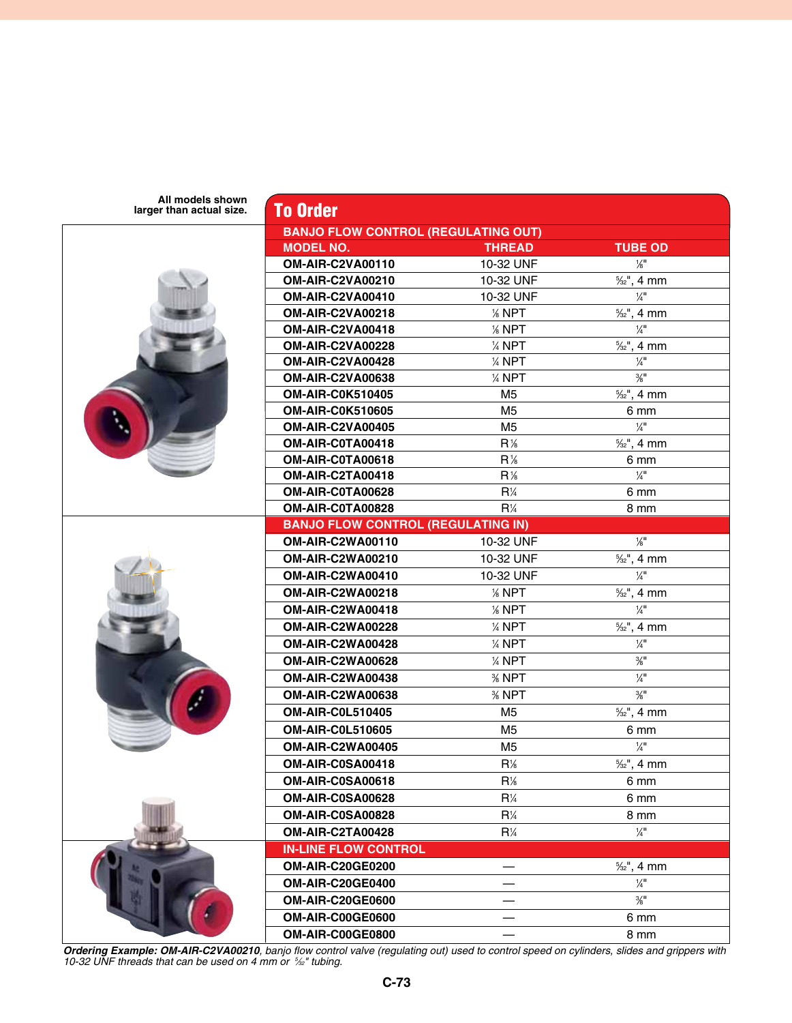**All models shown** 

| All models shown<br>larger than actual size. | <b>To Order</b>                            |                   |                             |  |
|----------------------------------------------|--------------------------------------------|-------------------|-----------------------------|--|
|                                              | <b>BANJO FLOW CONTROL (REGULATING OUT)</b> |                   |                             |  |
|                                              | <b>MODEL NO.</b>                           | <b>THREAD</b>     | <b>TUBE OD</b>              |  |
|                                              | <b>OM-AIR-C2VA00110</b>                    | 10-32 UNF         | $\frac{1}{8}$               |  |
|                                              | OM-AIR-C2VA00210                           | 10-32 UNF         | $\frac{5}{32}$ ", 4 mm      |  |
|                                              | OM-AIR-C2VA00410                           | 10-32 UNF         | $\frac{1}{4}$ <sup>11</sup> |  |
|                                              | <b>OM-AIR-C2VA00218</b>                    | % NPT             | $\frac{5}{32}$ ", 4 mm      |  |
|                                              | OM-AIR-C2VA00418                           | % NPT             | $\frac{1}{4}$ <sup>11</sup> |  |
|                                              | OM-AIR-C2VA00228                           | $\frac{1}{4}$ NPT | $\frac{5}{32}$ ", 4 mm      |  |
|                                              | OM-AIR-C2VA00428                           | $\frac{1}{4}$ NPT | $\frac{1}{4}$ <sup>11</sup> |  |
|                                              | <b>OM-AIR-C2VA00638</b>                    | % NPT             | $\frac{3}{8}$ <sup>11</sup> |  |
|                                              | <b>OM-AIR-C0K510405</b>                    | M5                | $\frac{5}{32}$ ", 4 mm      |  |
|                                              | <b>OM-AIR-C0K510605</b>                    | M <sub>5</sub>    | 6 mm                        |  |
|                                              | <b>OM-AIR-C2VA00405</b>                    | M <sub>5</sub>    | $\frac{1}{4}$ <sup>11</sup> |  |
|                                              | OM-AIR-C0TA00418                           | $R$ %             | $\frac{5}{32}$ ", 4 mm      |  |
|                                              | OM-AIR-C0TA00618                           | $R$ %             | 6 mm                        |  |
|                                              | OM-AIR-C2TA00418                           | $R$ %             | $\frac{1}{4}$ <sup>11</sup> |  |
|                                              | OM-AIR-C0TA00628                           | $R\frac{1}{4}$    | 6 mm                        |  |
|                                              | OM-AIR-C0TA00828                           | $R\frac{1}{4}$    | 8 mm                        |  |
|                                              | <b>BANJO FLOW CONTROL (REGULATING IN)</b>  |                   |                             |  |
|                                              | <b>OM-AIR-C2WA00110</b>                    | 10-32 UNF         | $\frac{1}{8}$ ll            |  |
|                                              | <b>OM-AIR-C2WA00210</b>                    | 10-32 UNF         | $\frac{5}{32}$ ", 4 mm      |  |
|                                              | OM-AIR-C2WA00410                           | 10-32 UNF         | $\frac{1}{4}$ <sup>11</sup> |  |
|                                              | OM-AIR-C2WA00218                           | % NPT             | $\frac{5}{32}$ ", 4 mm      |  |
|                                              | OM-AIR-C2WA00418                           | % NPT             | $\frac{1}{4}$               |  |
|                                              | OM-AIR-C2WA00228                           | $\frac{1}{4}$ NPT | $\frac{5}{32}$ ", 4 mm      |  |
|                                              | OM-AIR-C2WA00428                           | $\frac{1}{4}$ NPT | $\frac{1}{4}$               |  |
|                                              | OM-AIR-C2WA00628                           | $\frac{1}{4}$ NPT | $\frac{3}{8}$ <sup>11</sup> |  |
|                                              | OM-AIR-C2WA00438                           | $%$ NPT           | $\frac{1}{4}$               |  |
|                                              | <b>OM-AIR-C2WA00638</b>                    | % NPT             | $\frac{3}{8}$ <sup>11</sup> |  |
|                                              | <b>OM-AIR-C0L510405</b>                    | M <sub>5</sub>    | $\frac{5}{32}$ ", 4 mm      |  |
|                                              | <b>OM-AIR-C0L510605</b>                    | M5                | 6 mm                        |  |
|                                              | OM-AIR-C2WA00405                           | M <sub>5</sub>    | $\frac{1}{4}$               |  |
|                                              | OM-AIR-C0SA00418                           | $R\%$             | $\frac{5}{32}$ ", 4 mm      |  |
|                                              | OM-AIR-C0SA00618                           | $R\%$             | 6 mm                        |  |
|                                              | OM-AIR-C0SA00628                           | $R\frac{1}{4}$    | 6 mm                        |  |
|                                              | OM-AIR-C0SA00828                           | $R\frac{1}{4}$    | 8 mm                        |  |
|                                              | OM-AIR-C2TA00428                           | $R\frac{1}{4}$    | $\frac{1}{4}$               |  |
|                                              | <b>IN-LINE FLOW CONTROL</b>                |                   |                             |  |
|                                              | OM-AIR-C20GE0200                           |                   | $\frac{5}{32}$ ", 4 mm      |  |
|                                              | OM-AIR-C20GE0400                           |                   | $\frac{1}{4}$               |  |
|                                              | <b>OM-AIR-C20GE0600</b>                    |                   | $\frac{3}{8}$ <sup>11</sup> |  |
|                                              | OM-AIR-C00GE0600                           |                   | 6 mm                        |  |
|                                              | OM-AIR-C00GE0800                           |                   | 8 mm                        |  |

*Ordering Example: OM-AIR-C2VA00210, banjo flow control valve (regulating out) used to control speed on cylinders, slides and grippers with 10-32 UNF threads that can be used on 4 mm or 5 ⁄32" tubing.*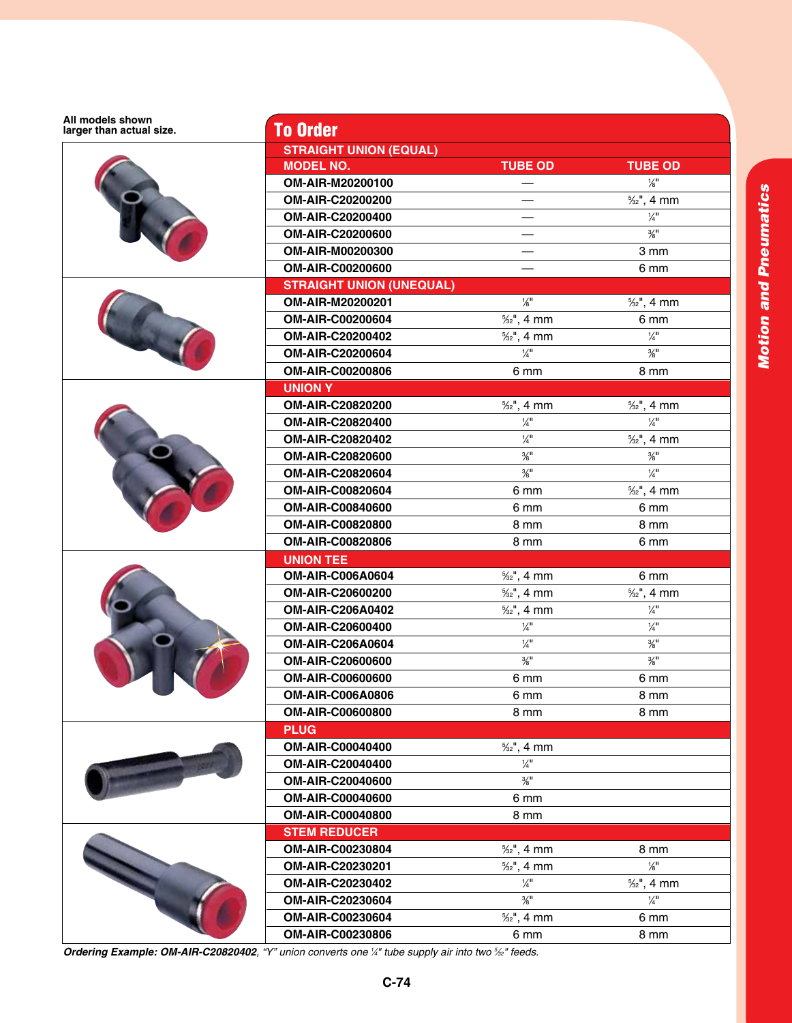| All models shown<br>larger than actual size. | <b>To Order</b>                        |                                                       |                                     |
|----------------------------------------------|----------------------------------------|-------------------------------------------------------|-------------------------------------|
|                                              | <b>STRAIGHT UNION (EQUAL)</b>          |                                                       |                                     |
|                                              | <b>MODEL NO.</b>                       | <b>TUBE OD</b>                                        | <b>TUBE OD</b>                      |
|                                              | OM-AIR-M20200100                       |                                                       | $\frac{1}{8}$                       |
|                                              | OM-AIR-C20200200                       |                                                       | $\frac{5}{32}$ ", 4 mm              |
|                                              | OM-AIR-C20200400                       |                                                       | $\frac{1}{4}$                       |
|                                              | OM-AIR-C20200600                       |                                                       | $\frac{3}{8}$ <sup>11</sup>         |
|                                              | OM-AIR-M00200300                       |                                                       | 3 mm                                |
|                                              | OM-AIR-C00200600                       |                                                       | 6 mm                                |
|                                              | <b>STRAIGHT UNION (UNEQUAL)</b>        |                                                       |                                     |
|                                              | OM-AIR-M20200201                       | $\frac{1}{8}$                                         | $\frac{5}{32}$ ", 4 mm              |
|                                              | OM-AIR-C00200604                       | $\frac{5}{32}$ ", 4 mm                                | 6 mm                                |
|                                              | OM-AIR-C20200402                       | $\frac{5}{32}$ ", 4 mm                                | $\frac{1}{4}$                       |
|                                              | OM-AIR-C20200604                       | $\frac{1}{4}$ <sup>11</sup>                           | $\frac{3}{8}$ <sup>11</sup>         |
|                                              | OM-AIR-C00200806                       | 6 mm                                                  | 8 mm                                |
|                                              | <b>UNION Y</b>                         |                                                       |                                     |
|                                              | OM-AIR-C20820200                       | $\frac{5}{32}$ ", 4 mm                                | $\frac{5}{32}$ ", 4 mm              |
|                                              | OM-AIR-C20820400                       | $\frac{1}{4}$ <sup>11</sup>                           | $\frac{1}{4}$                       |
|                                              | OM-AIR-C20820402                       | $\frac{1}{4}$                                         | $\frac{5}{32}$ ", 4 mm              |
|                                              | OM-AIR-C20820600                       | $\frac{3}{8}$ <sup>11</sup>                           | $\frac{3}{8}$ <sup>11</sup>         |
|                                              | OM-AIR-C20820604                       | $\frac{3}{8}$ <sup>11</sup>                           | $\frac{1}{4}$ <sup>11</sup>         |
|                                              | OM-AIR-C00820604                       | 6 mm                                                  | $\frac{5}{32}$ ", 4 mm              |
|                                              | <b>OM-AIR-C00840600</b>                | 6 mm                                                  | 6 mm                                |
|                                              | OM-AIR-C00820800                       | 8 mm                                                  | 8 mm                                |
|                                              | OM-AIR-C00820806                       | 8 mm                                                  | 6 mm                                |
|                                              | <b>UNION TEE</b>                       |                                                       |                                     |
|                                              | <b>OM-AIR-C006A0604</b>                | $\frac{5}{32}$ ", 4 mm                                | 6 mm                                |
|                                              | OM-AIR-C20600200                       | $\frac{5}{32}$ ", 4 mm                                | $\frac{5}{32}$ ", 4 mm              |
|                                              | <b>OM-AIR-C206A0402</b>                | $\frac{5}{32}$ ", 4 mm                                | $\frac{1}{4}$ <sup>11</sup>         |
|                                              | OM-AIR-C20600400                       | $\frac{1}{4}$ <sup>11</sup>                           | $\frac{1}{4}$                       |
|                                              | <b>OM-AIR-C206A0604</b>                | $\frac{1}{4}$                                         | $\frac{3}{8}$ <sup>11</sup>         |
|                                              | OM-AIR-C20600600                       | $\frac{3}{8}$ <sup>11</sup>                           | $\frac{3}{8}$ <sup>11</sup>         |
|                                              | <b>OM-AIR-C00600600</b>                | 6 mm                                                  | 6 mm                                |
|                                              | <b>OM-AIR-C006A0806</b>                |                                                       | 8 mm                                |
|                                              |                                        | 6 mm                                                  |                                     |
|                                              | <b>OM-AIR-C00600800</b><br><b>PLUG</b> | 8 mm                                                  | 8 mm                                |
|                                              | OM-AIR-C00040400                       |                                                       |                                     |
|                                              | OM-AIR-C20040400                       | $\frac{5}{32}$ ", 4 mm<br>$\frac{1}{4}$ <sup>11</sup> |                                     |
|                                              | OM-AIR-C20040600                       | $\frac{3}{8}$ <sup>11</sup>                           |                                     |
|                                              | OM-AIR-C00040600                       |                                                       |                                     |
|                                              | <b>OM-AIR-C00040800</b>                | 6 mm                                                  |                                     |
|                                              | <b>STEM REDUCER</b>                    | 8 mm                                                  |                                     |
|                                              |                                        |                                                       |                                     |
|                                              | OM-AIR-C00230804                       | $\frac{5}{32}$ ", 4 mm                                | 8 mm<br>$\frac{1}{8}$ <sup>11</sup> |
|                                              | OM-AIR-C20230201                       | $\frac{5}{32}$ ", 4 mm<br>$\frac{1}{4}$               |                                     |
|                                              | OM-AIR-C20230402                       | $\frac{3}{8}$ <sup>11</sup>                           | $\frac{5}{32}$ ", 4 mm              |
|                                              | OM-AIR-C20230604                       |                                                       | $\frac{1}{4}$ <sup>11</sup>         |
|                                              | OM-AIR-C00230604                       | $\frac{5}{32}$ ", 4 mm                                | 6 mm                                |
|                                              | OM-AIR-C00230806                       | 6 mm                                                  | 8 mm                                |

*Ordering Example: OM-AIR-C20820402, "Y" union converts one 1 ⁄4" tube supply air into two 5 ⁄32" feeds.*